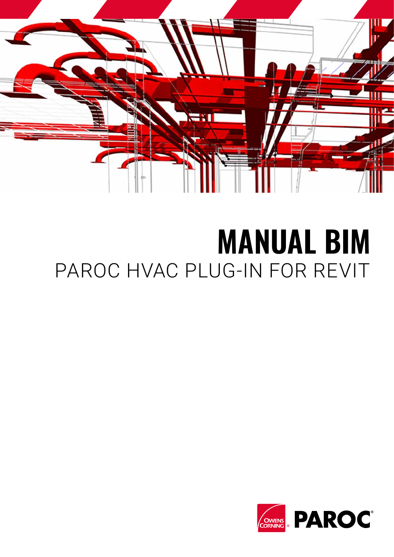

# **MANUAL BIM**  PAROC HVAC PLUG-IN FOR REVIT

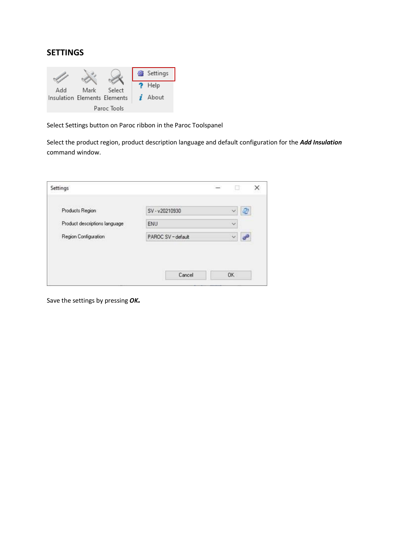## **SETTINGS**



Select Settings button on Paroc ribbon in the Paroc Toolspanel

Select the product region, product description language and default configuration for the *Add Insulation* command window.

Save the settings by pressing *OK.*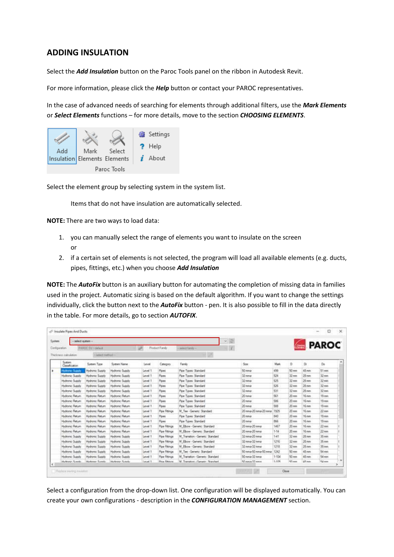## **ADDING INSULATION**

Select the *Add Insulation* button on the Paroc Tools panel on the ribbon in Autodesk Revit.

For more information, please click the *Help* button or contact your PAROC representatives.

In the case of advanced needs of searching for elements through additional filters, use the *Mark Elements* or *Select Elements* functions – for more details, move to the section *CHOOSING ELEMENTS*.



Select the element group by selecting system in the system list.

Items that do not have insulation are automatically selected.

**NOTE:** There are two ways to load data:

- 1. you can manually select the range of elements you want to insulate on the screen or
- 2. if a certain set of elements is not selected, the program will load all available elements (e.g. ducts, pipes, fittings, etc.) when you choose *Add Insulation*

**NOTE:** The *AutoFix* button is an auxiliary button for automating the completion of missing data in families used in the project. Automatic sizing is based on the default algorithm. If you want to change the settings individually, click the button next to the *AutoFix* button - pen. It is also possible to fill in the data directly in the table. For more details, go to section *AUTOFIX*.

| System                   | select system -           |                        |                |                       | e<br>w                            |                      |          |                     |                   | <b>PAROC</b> |  |
|--------------------------|---------------------------|------------------------|----------------|-----------------------|-----------------------------------|----------------------|----------|---------------------|-------------------|--------------|--|
| <b>Configuration</b>     | PAROC SV-default          |                        |                | <b>Product Family</b> | - select Tamily -                 |                      |          |                     |                   |              |  |
| Thickness calculation    | Americans! -              |                        |                |                       |                                   |                      |          |                     |                   |              |  |
| System<br>Classification | System Type               | Superi Name            | Level          | Category              | Family                            | Spr                  | Mark     | Ð                   | D                 | D6           |  |
| <b>Hydronic Succily</b>  | <b>Hydronic Supply</b>    | Hydranic Supply        | Level 1        | Piper                 | Pipe Types: Standard              | 50 mma               | 499      | $50$ mm             | $45 \, \text{nm}$ | 51mm         |  |
| Hudronic Supply          | Hydronic Supply           | Hydronic Supply        | Level 1        | Pipes                 | Pipe Types: Standard              | 32 mma               | 524      | 32mm                | 28 mm             | $32$ mm      |  |
| Hydronic Supply          | Hydronic Supply           | Hydronic Supply        | Level 1        | Pipes                 | Pipe Types: Standard              | 32 mma               | 525      | $32$ mm             | $26 \, \text{mm}$ | $32$ mm      |  |
| Hydronic Supply          | <b>Hydronic Supply</b>    | Hydronic Supply        | Level 1        | Pries                 | Pipe Types: Standard              | 32 min.it            | 526      | $22$ mm             | 28 mm             | 32 mm        |  |
| Hydronic Supply          | <b>Hydrone Supply</b>     | <b>Hydronic Supply</b> | Level 1        | Foes                  | Pipe Types: Standard              | $32 \, mm$           | 531      | $32$ mm             | $28 \, \text{mm}$ | $32$ mm      |  |
| Hydronic Return          | Hydronic Return           | Hydranic Return        | Level 1        | Pipes                 | Pipe Types: Standard              | $20$ mma             | 561      | $20$ mm             | 16 mm             | 19 mm        |  |
| <b>Hudronic Return</b>   | Hydronic Return           | Hydronic Return        | Level 1        | Pipes                 | Pipe Types: Standard              | $20$ mmal            | 536      | $20$ mm             | 16 mm             | 15mm         |  |
| <b>Hudronic Return</b>   | <b>Hydranic Return</b>    | <b>Hydranic Return</b> | Level 1        | Pipes                 | Pipe Types: Standard              | 20 minut             | 5.6d     | $20$ mm             | 16 nws            | 15 mm        |  |
| Hudronic Return          | Hydranic Return           | <b>Hydronic Return</b> | Level 1        | <b>Pipe Fittings</b>  | M. Tee - Genetc: Standard         | 20 mma-20 mma-20 mma | 1925     | $20 \, \mathrm{mm}$ | 16 mm             | $22$ mm      |  |
| Hydronic Return          | <b>Hydronic Return</b>    | <b>Hydronic Return</b> | Level 1        | Pipes                 | Pipe Types: Standard              | 20 minis             | 840      | $20$ mm             | 16 mm             | 19 mm        |  |
| Hydronic Return          | Hydronic Return           | Hydronic Return        | <b>Level 1</b> | Pore                  | Poe Types: Standard               | $20$ mma             | 866      | 20mm                | 16 mm             | 19 mm        |  |
| <b>Hydronic Return</b>   | <b>Hydronic Return</b>    | <b>Hydronic Return</b> | Level 1        | Pipe Fittings         | M. Ebox - Generic: Standard       | 20 mma-20 mma        | 1467     | $20$ mm             | $16$ mm           | $22$ mm      |  |
| Hudronic Return          | <b>Hydronic Return</b>    | Hydronic Return        | Level 1        | Poe Fittings          | M. Ebox - Genero: Standard        | 20 mma 20 mma        | $1 - 34$ | $20$ mm             | 16 mm             | $22$ mm      |  |
| <b>Hydronic Supply</b>   | Hydronic Supply           | Hydronic Supply        | Level 1        | Poe Fitings           | M. Transition - Genetic Standard  | 32 mma-20 mma        | 141      | $32$ mm             | $26$ mm           | 35mm         |  |
| Hydronic Supply          | <b>Hydronic Supply</b>    | Hydronic Supply        | Level T        | Poe Fittings          | M Ebox Generic Standard           | 32 mma-32 inma       | 1216     | $32 \, \text{mm}$   | $26 \, mm$        | 35 am        |  |
| Hydranic Supply          | <b>Hydronic Supply</b>    | <b>Hydranic Supply</b> | Level 1        | <b>Pipe Fittings</b>  | M Ebox - Genera: Standard         | $32$ mma $32$ mma    | 1218     | $32$ mm             | $24$ mm           | 35 mm        |  |
| <b>Hydronic Supply</b>   | <b>Hydronic Supply</b>    | Hydranic Supply        | Level 1        | Poe Fittings          | M Tee - Generic: Standard         | 50 mma-50 mma-50 mma | 1242     | 50 mm               | $43 \, nm$        | 54 mm        |  |
| Hydronic Supply          | Hydronic Supply           | Hydranic Supply        | Level 1        | Poe Fittings          | M. Transition - Genetic: Standard | 50 novia-32 nova     | 1-104    | 50 mm               | 45 mm             | 54 mm        |  |
| Marketin Scientis        | <b>Municipal Guinello</b> | Markness Scientist     | Target 1       | <b>Pina Ellinois</b>  | M. Transform - Canador Standard   | 53 august 13 years   | 1,156    | All come            | AR men            | K&mm         |  |

Select a configuration from the drop-down list. One configuration will be displayed automatically. You can create your own configurations - description in the *CONFIGURATION MANAGEMENT* section.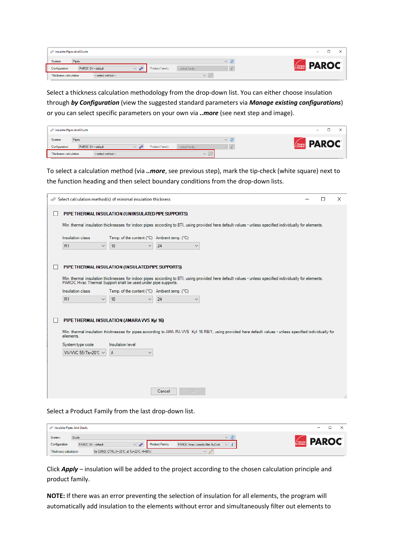| Insulate Pipes And Ducts                       |                                                              | $\overline{\phantom{a}}$<br>ـــ |
|------------------------------------------------|--------------------------------------------------------------|---------------------------------|
| System<br>Pipes                                | $\vee$<br>___                                                | <b>PAROC</b>                    |
| Configuration<br>PAROC SV - default            | <b>Product Family</b><br>-- select family --<br>$\checkmark$ | <b>OWENS</b>                    |
| Thickness calculation<br>$-$ select method $-$ | $\mathcal{M}$                                                |                                 |

Select a thickness calculation methodology from the drop-down list. You can either choose insulation through *by Configuration* (view the suggested standard parameters via *Manage existing configurations*) or you can select specific parameters on your own via *..more* (see next step and image).

|                                                  | Insulate Pipes And Ducts |              |                       |                       |  | $\overline{\phantom{a}}$ |  |  |
|--------------------------------------------------|--------------------------|--------------|-----------------------|-----------------------|--|--------------------------|--|--|
| System<br>Pipes<br>$\vee$<br><b>CONERS PAROC</b> |                          |              |                       |                       |  |                          |  |  |
| Configuration                                    | PAROC SV - default       | $\checkmark$ | <b>Product Family</b> | $-$ select family $-$ |  |                          |  |  |
| Thickness calculation                            | $-$ select method $-$    |              |                       | $\checkmark$          |  |                          |  |  |

To select a calculation method (via *..more*, see previous step), mark the tip-check (white square) next to the function heading and then select boundary conditions from the drop-down lists.

| Select calculation method(s) of minimal insulation thickness |                                                               |              |              |                                                                                                                                                          | П | $\times$ |
|--------------------------------------------------------------|---------------------------------------------------------------|--------------|--------------|----------------------------------------------------------------------------------------------------------------------------------------------------------|---|----------|
|                                                              | PIPE THERMAL INSULATION (UNINSULATED PIPE SUPPORTS)           |              |              |                                                                                                                                                          |   |          |
|                                                              |                                                               |              |              | Min, thermal insulation thicknesses for indoor pipes according to BTI, using provided here default values - unless specified individually for elements.  |   |          |
| Insulation class                                             | Temp. of the content (°C) Ambient temp. (°C)                  |              |              |                                                                                                                                                          |   |          |
| R1<br>$\checkmark$                                           | 10<br>$\checkmark$                                            | 24           | $\checkmark$ |                                                                                                                                                          |   |          |
|                                                              | PIPE THERMAL INSULATION (INSULATED PIPE SUPPORTS)             |              |              |                                                                                                                                                          |   |          |
|                                                              | PAROC Hyac Thermal Support shall be used under pipe supports. |              |              | Min, thermal insulation thicknesses for indoor pipes according to BTI, using provided here default values - unless specified individually for elements.  |   |          |
| Insulation class                                             | Temp. of the content (°C) Ambient temp. (°C)                  |              |              |                                                                                                                                                          |   |          |
| R1<br>$\checkmark$                                           | 10                                                            | 24           | $\checkmark$ |                                                                                                                                                          |   |          |
|                                                              | PIPE THERMAL INSULATION (AMARA VVS Kyl 16)                    |              |              |                                                                                                                                                          |   |          |
| elements.                                                    |                                                               |              |              | Min. thermal insulation thicknesses for pipes according to AMA RA WS Kyl 16 RB/1, using provided here default values - unless specified individually for |   |          |
| System type code                                             | Insulation level                                              |              |              |                                                                                                                                                          |   |          |
| W/VVC 55/Ts=20℃ $\sim$                                       | A<br>$\checkmark$                                             |              |              |                                                                                                                                                          |   |          |
|                                                              |                                                               |              |              |                                                                                                                                                          |   |          |
|                                                              |                                                               |              |              |                                                                                                                                                          |   |          |
|                                                              |                                                               |              |              |                                                                                                                                                          |   |          |
|                                                              |                                                               | OK<br>Cancel |              |                                                                                                                                                          |   |          |

Select a Product Family from the last drop-down list.

| Insulate Pipes And Ducts                                                                                               | -                                                 |
|------------------------------------------------------------------------------------------------------------------------|---------------------------------------------------|
| System<br><b>Ducts</b><br><b>Product Family</b><br>Configuration<br>PAROC Hvac Lamella Mat AluCoat<br>PAROC SV-default | $\vee$<br><b>PAROC</b><br>/ OWENS<br>$\checkmark$ |
| for COND. CTRL (t=-25°C, at Ta=22°C, H=50%)<br><b>Thickness calculation</b><br>$\vee$                                  |                                                   |

Click *Apply* – insulation will be added to the project according to the chosen calculation principle and product family.

**NOTE:** If there was an error preventing the selection of insulation for all elements, the program will automatically add insulation to the elements without error and simultaneously filter out elements to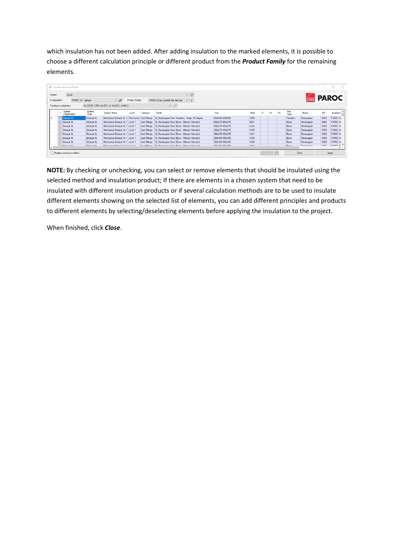which insulation has not been added. After adding insulation to the marked elements, it is possible to choose a different calculation principle or different product from the *Product Family* for the remaining elements.

|               | Insulate Pipes And Ducts                                                        |                     |                                      |                |                      |        |                                                  |                 |             |         |    |    |              |                       | $\sim$      | П<br>$\times$       |
|---------------|---------------------------------------------------------------------------------|---------------------|--------------------------------------|----------------|----------------------|--------|--------------------------------------------------|-----------------|-------------|---------|----|----|--------------|-----------------------|-------------|---------------------|
| System        | Ducts                                                                           |                     |                                      |                |                      |        | $\vee$ 2                                         |                 |             |         |    |    |              |                       |             | <b>Covers</b> PAROC |
| Configuration | PAROC SV - default                                                              |                     | $\sim$ $\omega$                      | Product Family |                      |        | $\vee$ i<br>PAROC Hvac Lamella Mat AluCoat       |                 |             |         |    |    |              |                       |             |                     |
|               | $\sim$ 1<br>for COND, CTRL &=-25°C, at Ta=10°C, H=50%)<br>Thickness calculation |                     |                                      |                |                      |        |                                                  |                 |             |         |    |    |              |                       |             |                     |
|               | System<br>Classification                                                        | System<br>Type      | System Name                          | Level          | Category             | Family | Wycinek okna                                     | Size            | Mark        | D       | Di | Do | Part<br>Type | Shape                 | <b>BIP</b>  | Insulation          |
|               | <b>V</b> Exhaust Air                                                            | Exhaust Air         | Mechanical Exhaust Air 1             | Roof Level     | <b>Duct Fittings</b> |        | M Rectangular Duct Transition - Angle: 45 Degree | 650x650-400x650 | 4409        |         |    |    | Transition   | Rectangular           | $-K403$     | PAROC Hy            |
|               | <b>D</b> Exhaust Air                                                            | Exhaust Air         | Mechanical Exhaust Air 1 Level 1     |                | <b>Duct Fittings</b> |        | M Rectangular Duct Elbow - Mitered: Standard     | 450x275-450x275 | 4431        |         |    |    | <b>Bbow</b>  | Rectangular           | $-K403$     | PAROC Hy            |
|               | <b>D</b> Exhaust Air                                                            | Exhaust Air         | Mechanical Exhaust Air 1 Level 1     |                | Duct Fittings        |        | M Rectangular Duct Elbow - Mitered: Standard     | 450x275-450x275 | 4434        |         |    |    | <b>Bbow</b>  | Rectangular           | $-K403$     | <b>PAROCH</b>       |
|               | <b>D</b> Exhaust Air                                                            | Exhaust Air         | Mechanical Exhaust Air 1 Level 1     |                | Duct Fittings        |        | M Rectangular Duct Elbow - Mitered: Standard     | 450x275-450x275 | 4439        |         |    |    | <b>Bbow</b>  | Rectangular           | $-K403$     | PAROC Hy            |
|               | <b>D</b> Exhaust Air                                                            | Exhaust Air         | Mechanical Exhaust Air 1 Level 1     |                | Duct Fittings        |        | M Rectangular Duct Elbow - Mitered: Standard     | 450x275-450x275 | 4441        |         |    |    | <b>Ebow</b>  | Rectangular           | $-K403$     | PAROC Hy            |
|               | Exhaust Air                                                                     | Exhaust Air         | Mechanical Exhaust Air 1 Level 1     |                | Duct Fittings        |        | M Rectangular Duct Elbow - Mitered: Standard     | 300x450-300x450 | 4445        |         |    |    | <b>Ebow</b>  | Rectangular           | $-K403$     | PAROC Hy            |
|               | <b>D</b> Exhaust Air                                                            | Exhaust Air         | Mechanical Exhaust Air 1 Level 1     |                | Duct Fittings        |        | M Rectangular Duct Elbow - Mitered: Standard     | 300x450-300x450 | 4449        |         |    |    | <b>Ebow</b>  | Rectangular           | $-K403$     | PAROC Hy            |
|               | <b>DE CURSUM Air</b>                                                            | <b>Colonial Air</b> | Monitoning Delivered Air 1   Louis 1 |                | <b>Dural Dirigon</b> |        | M. Destroyedry Drive Discor Mitched Organized    | AROVONO AROVONO | <b>AAC1</b> |         |    |    | Dhaw         | <b>Doctoring Inc.</b> | <b>MAD2</b> | <b>DADOC U.</b>     |
|               | Replace existing insulation                                                     |                     |                                      |                |                      |        |                                                  |                 |             | AutoFix |    |    |              | Close                 |             | Apply               |

**NOTE:** By checking or unchecking, you can select or remove elements that should be insulated using the selected method and insulation product; If there are elements in a chosen system that need to be insulated with different insulation products or if several calculation methods are to be used to insulate different elements showing on the selected list of elements, you can add different principles and products to different elements by selecting/deselecting elements before applying the insulation to the project.

When finished, click *Close*.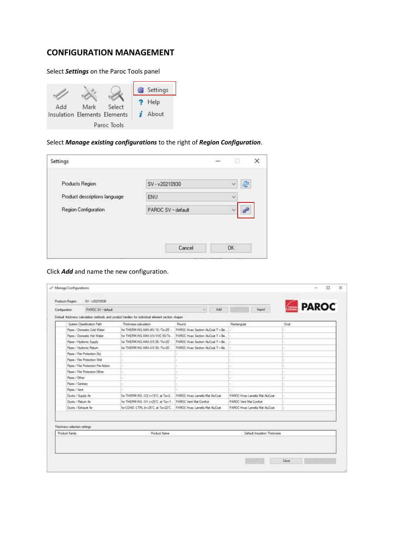### **CONFIGURATION MANAGEMENT**

#### Select *Settings* on the Paroc Tools panel



#### Select *Manage existing configurations* to the right of *Region Configuration*.

| Settings                      |                  | ы                 |
|-------------------------------|------------------|-------------------|
| Products Region               | SV-v20210930     | æ<br>$\checkmark$ |
| Product descriptions language | <b>ENU</b>       | $\vee$            |
| Region Configuration          | PAROC SV-default | $\sim$            |
|                               |                  |                   |
|                               | Cancel           | <b>OK</b>         |

#### Click *Add* and name the new configuration.

| System Classification Path   |                                    |                                                                                                                            |                                   |                               |      |
|------------------------------|------------------------------------|----------------------------------------------------------------------------------------------------------------------------|-----------------------------------|-------------------------------|------|
|                              |                                    | Default thickness calculation methods and product families for individual element section shapes.<br>Thickness calculation | Round                             | Rectangular                   | Oval |
|                              | Pipes / Domestic Cold Water        | for THERM INS AMA (KV 10 /Ts=25",                                                                                          | PAROC Hvac Section ALCoat T . Be  |                               |      |
|                              | Pipes / Donestic Hot Water         | for THERM INS AMA (VV/VVC 55/Ts                                                                                            | PAROC Hyac Section ALCoat T + Be  |                               |      |
| Pipes / Hydronic Supply      |                                    | for THERM INS AMA (VS 55 /Tu+20")                                                                                          | PAROC Hvac Section ALCoat T = Be. |                               |      |
| Pipes / Hydronic Return      |                                    | for THERM INS AMA (VS 55 /Tu+20"                                                                                           | PAROC Hyac Section ALCoat T + Be. |                               |      |
| Pipes / Fire Protection Dry  |                                    |                                                                                                                            |                                   |                               |      |
| Pipes / Fire Protection Wet  |                                    |                                                                                                                            |                                   |                               |      |
|                              | Pipes / Fire Protection Pre-Action |                                                                                                                            |                                   |                               |      |
|                              | Pipes / Fire Protection Other      | in 1                                                                                                                       |                                   |                               |      |
| Pipes / Other                |                                    |                                                                                                                            |                                   |                               |      |
| Poes / Santary               |                                    |                                                                                                                            |                                   |                               |      |
| Pipes / Vert                 |                                    |                                                                                                                            |                                   |                               |      |
| Ducto / Supply Air           |                                    | for THERM INS. (V2, t=15°C; at Ta+2.)                                                                                      | PAROC Hyac Lamella Mat ALCoat     | PAROC Hyac Lamella Mat ALCoat |      |
| Ducts / Return Air           |                                    | for THERM INS. (V1.1+20°C, at Ta+1                                                                                         | PAROC Verst Mat Comfort           | <b>PARDC Vert Mat Comfort</b> |      |
| Ducts / Exhaust Air          |                                    | for COND. CTRL t = 25'C. at Ta=22'C.                                                                                       | PAROC Hyac Lamela Mat AluCoat     | PAROC Hyac Lamella Mat ALCoat |      |
| Thickness selection settings |                                    |                                                                                                                            |                                   |                               |      |
| Product Family               |                                    | Product Name                                                                                                               |                                   | Default Insulation Thickness  |      |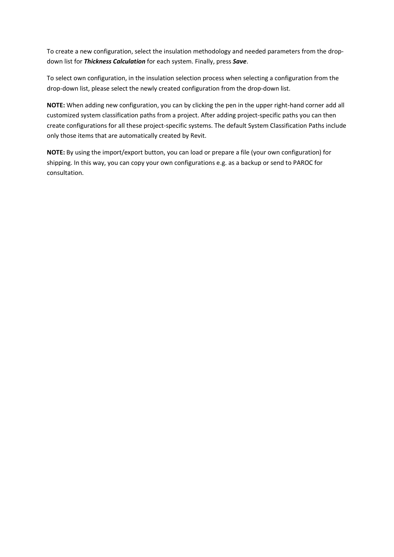To create a new configuration, select the insulation methodology and needed parameters from the dropdown list for *Thickness Calculation* for each system. Finally, press *Save*.

To select own configuration, in the insulation selection process when selecting a configuration from the drop-down list, please select the newly created configuration from the drop-down list.

**NOTE:** When adding new configuration, you can by clicking the pen in the upper right-hand corner add all customized system classification paths from a project. After adding project-specific paths you can then create configurations for all these project-specific systems. The default System Classification Paths include only those items that are automatically created by Revit.

**NOTE:** By using the import/export button, you can load or prepare a file (your own configuration) for shipping. In this way, you can copy your own configurations e.g. as a backup or send to PAROC for consultation.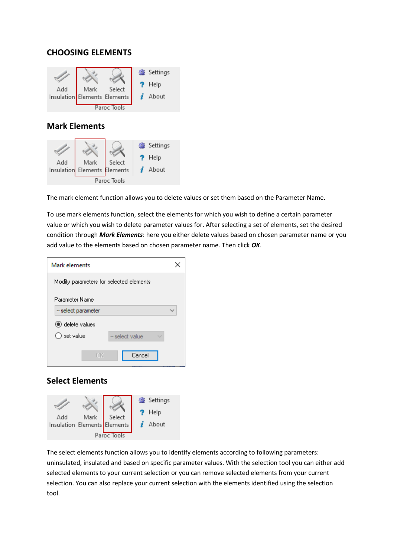## **CHOOSING ELEMENTS**



## **Mark Elements**



The mark element function allows you to delete values or set them based on the Parameter Name.

To use mark elements function, select the elements for which you wish to define a certain parameter value or which you wish to delete parameter values for. After selecting a set of elements, set the desired condition through *Mark Elements*: here you either delete values based on chosen parameter name or you add value to the elements based on chosen parameter name. Then click *OK*.

| Mark elements                           |                |  |
|-----------------------------------------|----------------|--|
| Modify parameters for selected elements |                |  |
| Parameter Name                          |                |  |
| -- select parameter                     |                |  |
| telete values                           |                |  |
| ○ set value                             | - select value |  |
| OK.                                     | Cancel         |  |

## **Select Elements**



The select elements function allows you to identify elements according to following parameters: uninsulated, insulated and based on specific parameter values. With the selection tool you can either add selected elements to your current selection or you can remove selected elements from your current selection. You can also replace your current selection with the elements identified using the selection tool.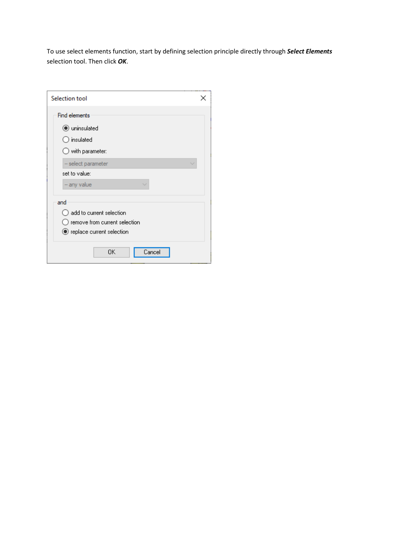To use select elements function, start by defining selection principle directly through *Select Elements* selection tool. Then click *OK*.

| Selection tool                                                                                    |  |
|---------------------------------------------------------------------------------------------------|--|
| <b>Find elements</b>                                                                              |  |
| $\odot$ uninsulated                                                                               |  |
| $\supset$ insulated                                                                               |  |
| $\bigcirc$ with parameter:                                                                        |  |
| -- select parameter                                                                               |  |
| set to value:                                                                                     |  |
| -- any value                                                                                      |  |
| and<br>add to current selection<br>) remove from current selection<br>● replace current selection |  |
| OK<br>Cancel                                                                                      |  |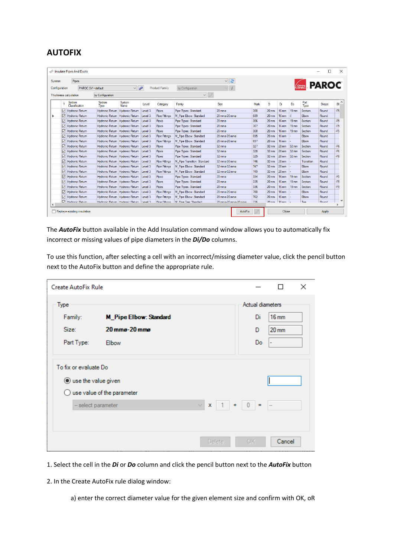# **AUTOFIX**

|               |                         | Insulate Pipes And Ducts           |                        |                                         |         |                       |                             |                      |         |      |                 |                 |                 |                     | □<br>- | $\times$        |
|---------------|-------------------------|------------------------------------|------------------------|-----------------------------------------|---------|-----------------------|-----------------------------|----------------------|---------|------|-----------------|-----------------|-----------------|---------------------|--------|-----------------|
| System        |                         | Pipes                              |                        |                                         |         |                       |                             | æ<br>$\backsim$      |         |      |                 |                 |                 |                     |        |                 |
| Configuration |                         |                                    | PAROC SV - default     | $\vee$ $\Rightarrow$                    |         | <b>Product Family</b> | by Configuration            | $\checkmark$         |         |      |                 |                 |                 | <b>Covers</b> PAROC |        |                 |
|               |                         | <b>Thickness calculation</b>       | by Configuration       |                                         |         |                       | $\vee$ 1                    |                      |         |      |                 |                 |                 |                     |        |                 |
|               | $\overline{\mathbf{r}}$ | System<br>Classification           | System<br>Type         | System<br>Name                          | Level   | Category              | Family                      | <b>Size</b>          |         | Mark | D               | Di              | Do              | Part<br>Type        | Shape  | $\lambda$<br>BI |
|               | ☑                       | Hydronic Return                    | <b>Hydronic Return</b> | <b>Hydronic Return</b>                  | Level 3 | Pipes                 | Pipe Types: Standard        | 20 mmo               |         | 300  | $20 \text{ mm}$ | <b>16 mm</b>    | $19 \text{ mm}$ | Section             | Round  | -F5             |
| ٠             | ⊠                       | Hydronic Return                    |                        | Hydronic Return Hydronic Return         | Level 3 | <b>Pipe Fittings</b>  | M Pipe Elbow: Standard      | 20 mma-20 mma        |         | 689  | $20 \text{ mm}$ | $16 \text{ mm}$ |                 | <b>Flhow</b>        | Round  |                 |
|               | 罓                       | Hydronic Return                    |                        | Hydronic Return Hydronic Return         | Level 3 | Pipes                 | Pipe Types: Standard        | 20 mmo               |         | 306  | $20 \text{ mm}$ | $16 \text{ mm}$ | $19 \text{ mm}$ | Section             | Round  | ·F5             |
|               | ☑                       | Hydronic Return                    |                        | Hydronic Return Hydronic Return         | Level 3 | Pipes                 | Pipe Types: Standard        | $20 \text{ mm}$ a    |         | 307  | $20 \text{ mm}$ | $16 \text{ mm}$ | $19 \text{ mm}$ | Section             | Round  | -F5             |
|               | 罓                       | <b>Hydronic Return</b>             |                        | Hydronic Return Hydronic Return         | Level 3 | Pipes                 | Pipe Types: Standard        | $20 \text{ mm}$ a    |         | 308  | $20 \text{ mm}$ | $16 \text{ mm}$ | $19 \text{ mm}$ | Section             | Round  | -F5             |
|               | 罓                       | Hydronic Return                    |                        | Hydronic Return Hydronic Return         | Level 3 | <b>Pipe Fittings</b>  | M Pipe Elbow: Standard      | 20 mmo-20 mmo        |         | 695  | $20 \text{ mm}$ | <b>16 mm</b>    |                 | Elbow               | Round  |                 |
|               | ☑                       | Hydronic Return                    |                        | Hydronic Return Hydronic Return         | Level 3 | <b>Pipe Fittings</b>  | M Pipe Elbow: Standard      | 20 mmo-20 mmo        |         | 697  | $20 \text{ mm}$ | $16 \text{ mm}$ |                 | Flhow               | Round  |                 |
|               | 罓                       | <b>Hydronic Return</b>             |                        | Hydronic Return Hydronic Return         | Level 3 | Pipes                 | Pipe Types: Standard        | 32 mmo               |         | 327  | $32 \text{ mm}$ | <b>28 mm</b>    | $32 \text{ mm}$ | Section             | Round  | -F <sub>6</sub> |
|               | 罓                       | Hydronic Return                    |                        | Hydronic Return Hydronic Return         | Level 3 | Pipes                 | Pipe Types: Standard        | $32 \text{ mm}$      |         | 328  | 32 mm           | 28 mm           | 32 mm           | Section             | Round  | -F <sub>6</sub> |
|               | 罓                       | <b>Hydronic Return</b>             |                        | Hydronic Return Hydronic Return         | Level 3 | Pipes                 | Pipe Types: Standard        | 32 mmo               |         | 329  | $32 \text{ mm}$ | <b>28 mm</b>    | 32 mm           | Section             | Round  | -F <sub>6</sub> |
|               | ☑                       | <b>Hydronic Return</b>             |                        | Hydronic Return Hydronic Return         | Level 3 | <b>Pipe Fittings</b>  | M Pipe Transition: Standard | 32 mmo-30 mmo        |         | 746  | $32 \text{ mm}$ | 28 mm           |                 | Transition          | Round  |                 |
|               | 罓                       | <b>Hydronic Return</b>             |                        | Hydronic Return Hydronic Return         | Level 3 | <b>Pipe Fittings</b>  | M Pipe Elbow: Standard      | 32 mmg-32 mmg        |         | 747  | $32 \text{ mm}$ | 28 mm           |                 | Elbow               | Round  |                 |
|               | ☑                       | <b>Hydronic Return</b>             |                        | Hydronic Return Hydronic Return         | Level 3 | <b>Pipe Fittings</b>  | M Pipe Elbow: Standard      | 32 mmo-32 mmo        |         | 749  | $32 \text{ mm}$ | <b>28 mm</b>    |                 | Elbow               | Round  |                 |
|               | ☑                       | Hydronic Return                    |                        | Hydronic Return Hydronic Return         | Level 3 | Pipes                 | Pipe Types: Standard        | $20 \text{ mm}$ a    |         | 334  | $20 \text{ mm}$ | $16 \text{ mm}$ | $19 \text{ mm}$ | Section             | Round  | -F5             |
|               | 罓                       | <b>Hydronic Return</b>             |                        | Hydronic Return Hydronic Return         | Level 3 | Pipes                 | Pipe Types: Standard        | 20 mmo               |         | 335  | $20 \text{ mm}$ | $16 \text{ mm}$ | $19 \text{ mm}$ | Section             | Round  | F <sub>5</sub>  |
|               | ☑                       | <b>Hydronic Return</b>             |                        | Hydronic Return Hydronic Return         | Level 3 | Pipes                 | Pipe Types: Standard        | $20 \text{ mm}$ a    |         | 336  | $20 \text{ mm}$ | <b>16 mm</b>    | $19 \text{ mm}$ | Section             | Round  | F <sub>5</sub>  |
|               | ☑                       | <b>Hydronic Return</b>             |                        | Hydronic Return Hydronic Return         | Level 3 | <b>Pipe Fittings</b>  | M Pipe Elbow: Standard      | 20 mma-20 mma        |         | 760  | $20 \text{ mm}$ | $16 \text{ mm}$ |                 | Flhow               | Round  |                 |
|               | ☑                       | <b>Hydronic Return</b>             |                        | Hydronic Return Hydronic Return         | Level 3 | <b>Pipe Fittings</b>  | M Pipe Elbow: Standard      | 20 mmo-20 mmo        |         | 762  | $20 \text{ mm}$ | <b>16 mm</b>    |                 | Elbow               | Round  |                 |
|               |                         | Hydmnic Return                     |                        | Hydronic Return Hydronic Return Level 3 |         | <b>Pine Fittinns</b>  | M. Pine Tee: Standard       | 20 mmg-20 mmg-20 mmg |         | 776  | $20 \text{ mm}$ | $16 \text{ mm}$ |                 | Tee                 | Round  | $\checkmark$    |
|               |                         |                                    |                        |                                         |         |                       |                             |                      |         |      |                 |                 |                 |                     |        | $\rightarrow$   |
|               |                         | $\Box$ Replace existing insulation |                        |                                         |         |                       |                             |                      | AutoFix |      |                 | Close           |                 |                     | Apply  |                 |

The *AutoFix* button available in the Add Insulation command window allows you to automatically fix incorrect or missing values of pipe diameters in the *Di/Do* columns.

To use this function, after selecting a cell with an incorrect/missing diameter value, click the pencil button next to the AutoFix button and define the appropriate rule.

| <b>Create AutoFix Rule</b>                                                                             |                                                         |              |  |               |                                   | П                                    | $\times$ |
|--------------------------------------------------------------------------------------------------------|---------------------------------------------------------|--------------|--|---------------|-----------------------------------|--------------------------------------|----------|
| Type<br>Family:<br>Size:<br>Part Type:                                                                 | <b>M_Pipe Elbow: Standard</b><br>20 mmg-20 mmg<br>Elbow |              |  |               | Actual diameters<br>Di<br>D<br>Do | $16 \text{ mm}$<br>$20 \, \text{mm}$ |          |
| To fix or evaluate Do<br>$\odot$ use the value given<br>use value of the parameter<br>$\left( \right)$ |                                                         |              |  |               |                                   |                                      |          |
|                                                                                                        | -- select parameter                                     | $\checkmark$ |  |               | $x + 1 + 0 = -$                   |                                      |          |
|                                                                                                        |                                                         |              |  | <b>Delete</b> | OK.                               | Cancel                               |          |

- 1. Select the cell in the *Di* or *Do* column and click the pencil button next to the *AutoFix* button
- 2. In the Create AutoFix rule dialog window:
	- a) enter the correct diameter value for the given element size and confirm with OK, oR